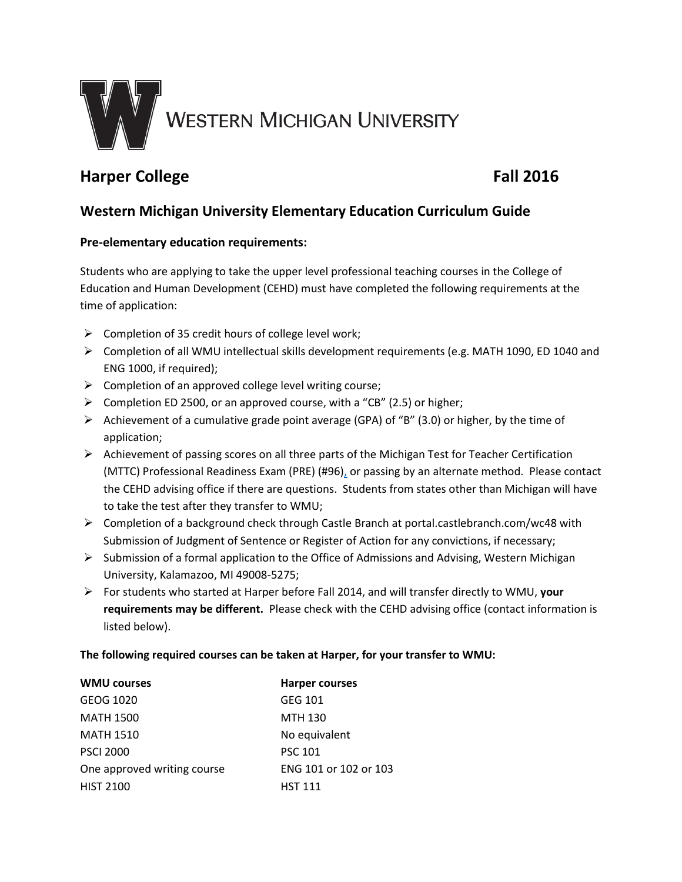

# **Harper College Fall 2016**

## **Western Michigan University Elementary Education Curriculum Guide**

### **Pre-elementary education requirements:**

Students who are applying to take the upper level professional teaching courses in the College of Education and Human Development (CEHD) must have completed the following requirements at the time of application:

- $\triangleright$  Completion of 35 credit hours of college level work;
- $\triangleright$  Completion of all WMU intellectual skills development requirements (e.g. MATH 1090, ED 1040 and ENG 1000, if required);
- $\triangleright$  Completion of an approved college level writing course;
- $\triangleright$  Completion ED 2500, or an approved course, with a "CB" (2.5) or higher;
- Achievement of a cumulative grade point average (GPA) of "B" (3.0) or higher, by the time of application;
- $\triangleright$  Achievement of passing scores on all three parts of the Michigan Test for Teacher Certification (MTTC) Professional Readiness Exam (PRE) (#96), or passing by an alternate method. Please contact the CEHD advising office if there are questions. Students from states other than Michigan will have to take the test after they transfer to WMU;
- $\triangleright$  Completion of a background check through Castle Branch at portal.castlebranch.com/wc48 with Submission of Judgment of Sentence or Register of Action for any convictions, if necessary;
- Submission of a formal application to the Office of Admissions and Advising, Western Michigan University, Kalamazoo, MI 49008-5275;
- For students who started at Harper before Fall 2014, and will transfer directly to WMU, **your requirements may be different.** Please check with the CEHD advising office (contact information is listed below).

#### **The following required courses can be taken at Harper, for your transfer to WMU:**

| <b>WMU courses</b>          | <b>Harper courses</b> |
|-----------------------------|-----------------------|
| GEOG 1020                   | GEG 101               |
| <b>MATH 1500</b>            | <b>MTH 130</b>        |
| <b>MATH 1510</b>            | No equivalent         |
| <b>PSCI 2000</b>            | <b>PSC 101</b>        |
| One approved writing course | ENG 101 or 102 or 103 |
| <b>HIST 2100</b>            | <b>HST 111</b>        |